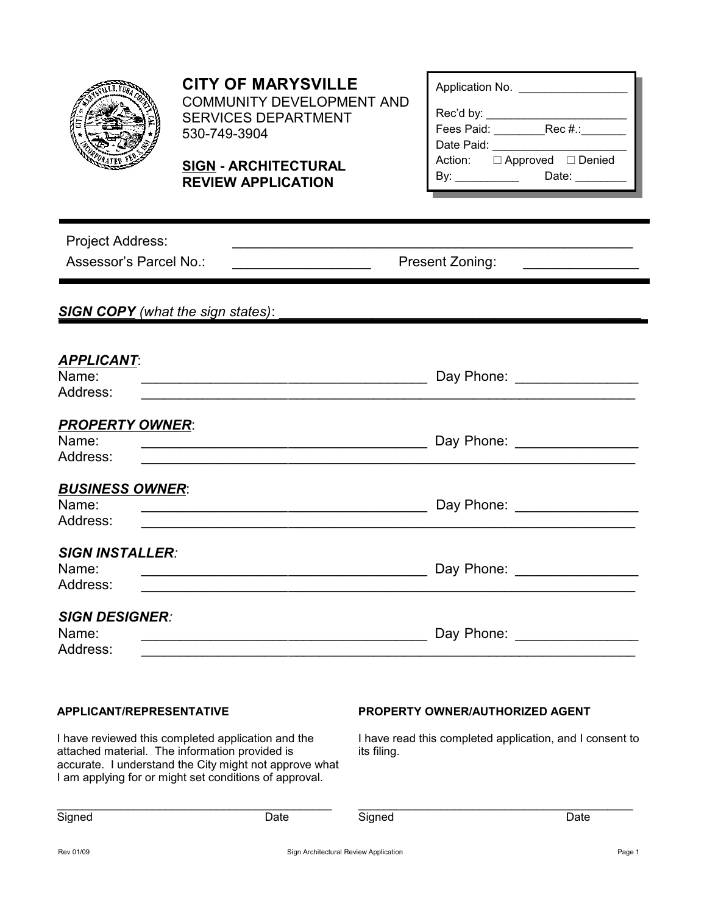

# **CITY OF MARYSVILLE**

COMMUNITY DEVELOPMENT AND SERVICES DEPARTMENT 530-749-3904

## **SIGN - ARCHITECTURAL REVIEW APPLICATION**

| Application No.    |                             |
|--------------------|-----------------------------|
| Rec'd by:          |                             |
| Fees Paid: The Sea | Rec #.: ______              |
| Date Paid:         |                             |
|                    | Action: □ Approved □ Denied |
|                    | Date: $\frac{1}{2}$         |
|                    |                             |

| <b>Project Address:</b>                                                                                                                  |                                                                                                                                                                                                                                                         |  |  |
|------------------------------------------------------------------------------------------------------------------------------------------|---------------------------------------------------------------------------------------------------------------------------------------------------------------------------------------------------------------------------------------------------------|--|--|
| Assessor's Parcel No.:                                                                                                                   | Present Zoning:<br><u> 1980 - Jan Stein Stein Stein Stein Stein Stein Stein Stein Stein Stein Stein Stein Stein Stein Stein Stein Stein Stein Stein Stein Stein Stein Stein Stein Stein Stein Stein Stein Stein Stein Stein Stein Stein Stein Stein</u> |  |  |
|                                                                                                                                          |                                                                                                                                                                                                                                                         |  |  |
| <b>SIGN COPY</b> (what the sign states):                                                                                                 |                                                                                                                                                                                                                                                         |  |  |
| <b>APPLICANT:</b>                                                                                                                        |                                                                                                                                                                                                                                                         |  |  |
| Name:<br>Address:<br><u> 1980 - Jan Barbara, martin da basar da basar da basar da basar da basar da basar da basar da basar da basar</u> | Day Phone: __________________                                                                                                                                                                                                                           |  |  |
| <b>PROPERTY OWNER:</b><br>Name:<br>Address:                                                                                              | Day Phone: __________________                                                                                                                                                                                                                           |  |  |
| <b>BUSINESS OWNER:</b><br>Name:                                                                                                          | Day Phone: _________________                                                                                                                                                                                                                            |  |  |
| Address:<br><u> 1980 - Jan Barnett, fransk politik (d. 1980)</u><br><b>SIGN INSTALLER:</b>                                               |                                                                                                                                                                                                                                                         |  |  |
| Name:<br>Address:                                                                                                                        | Day Phone: __________________                                                                                                                                                                                                                           |  |  |
| <b>SIGN DESIGNER:</b><br>Name:<br>Address:                                                                                               | Day Phone: <b>Example 20</b>                                                                                                                                                                                                                            |  |  |

#### **APPLICANT/REPRESENTATIVE**

### **PROPERTY OWNER/AUTHORIZED AGENT**

I have reviewed this completed application and the attached material. The information provided is accurate. I understand the City might not approve what I am applying for or might set conditions of approval.

I have read this completed application, and I consent to its filing.

\_\_\_\_\_\_\_\_\_\_\_\_\_\_\_\_\_\_\_\_\_\_\_\_\_\_\_\_\_\_\_\_\_\_\_\_\_\_\_\_\_\_\_

| Signed | Date |
|--------|------|
|--------|------|

Signed Date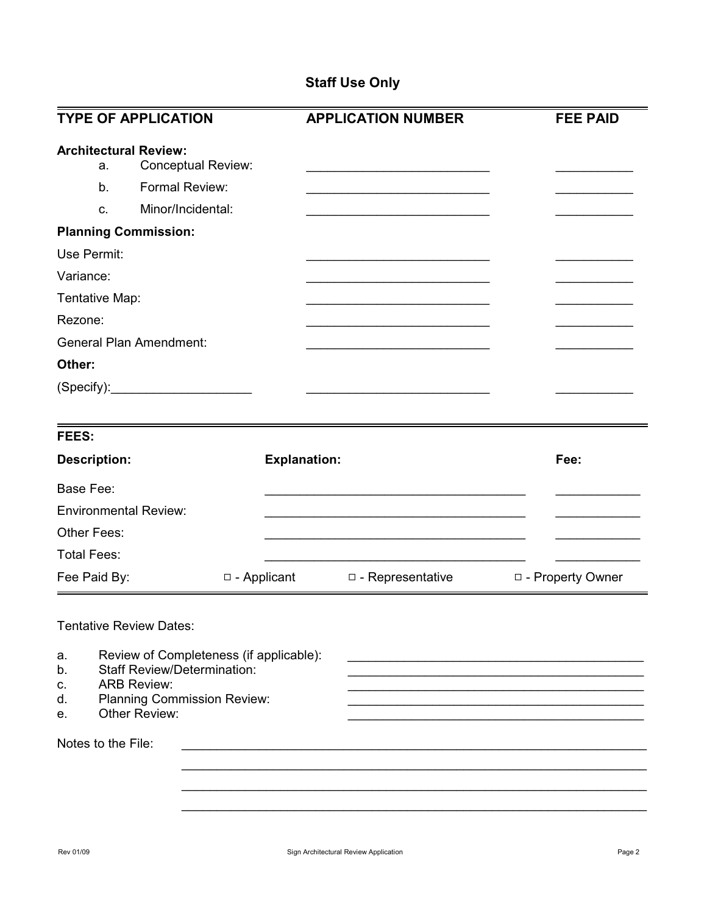## **Staff Use Only**

|                                                                                                                     | <b>APPLICATION NUMBER</b> | <b>FEE PAID</b>     |
|---------------------------------------------------------------------------------------------------------------------|---------------------------|---------------------|
| <b>Conceptual Review:</b>                                                                                           |                           |                     |
|                                                                                                                     |                           |                     |
| (Specify):                                                                                                          |                           |                     |
|                                                                                                                     |                           |                     |
|                                                                                                                     |                           | Fee:                |
|                                                                                                                     |                           |                     |
|                                                                                                                     |                           |                     |
| $\Box$ - Applicant                                                                                                  | $\Box$ - Representative   | □ - Property Owner  |
| Review of Completeness (if applicable):<br><b>Staff Review/Determination:</b><br><b>Planning Commission Review:</b> |                           |                     |
|                                                                                                                     |                           | <b>Explanation:</b> |